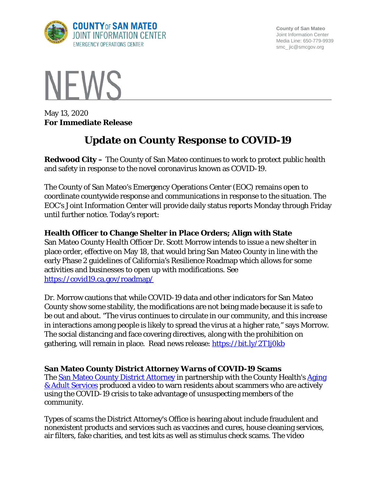

**County of San Mateo** Joint Information Center Media Line: 650-779-9939 smc\_ jic@smcgov.org



May 13, 2020 **For Immediate Release**

# **Update on County Response to COVID-19**

**Redwood City –** The County of San Mateo continues to work to protect public health and safety in response to the novel coronavirus known as COVID-19.

The County of San Mateo's Emergency Operations Center (EOC) remains open to coordinate countywide response and communications in response to the situation. The EOC's Joint Information Center will provide daily status reports Monday through Friday until further notice. Today's report:

## **Health Officer to Change Shelter in Place Orders; Align with State**

San Mateo County Health Officer Dr. Scott Morrow intends to issue a new shelter in place order, effective on May 18, that would bring San Mateo County in line with the early Phase 2 guidelines of California's Resilience Roadmap which allows for some activities and businesses to open up with modifications. See <https://covid19.ca.gov/roadmap/>

Dr. Morrow cautions that while COVID-19 data and other indicators for San Mateo County show some stability, the modifications are not being made because it is safe to be out and about. "The virus continues to circulate in our community, and this increase in interactions among people is likely to spread the virus at a higher rate," says Morrow. The social distancing and face covering directives, along with the prohibition on gathering, will remain in place. Read news release:<https://bit.ly/2T1j0kb>

## **San Mateo County District Attorney Warns of COVID-19 Scams**

The [San Mateo County District Attorney](https://da.smcgov.org/) in partnership with the County Health's Aging [& Adult Services](https://www.smchealth.org/services-aging-and-adult) produced a video to warn residents about scammers who are actively using the COVID-19 crisis to take advantage of unsuspecting members of the community.

Types of scams the District Attorney's Office is hearing about include fraudulent and nonexistent products and services such as vaccines and cures, house cleaning services, air filters, fake charities, and test kits as well as stimulus check scams. The video